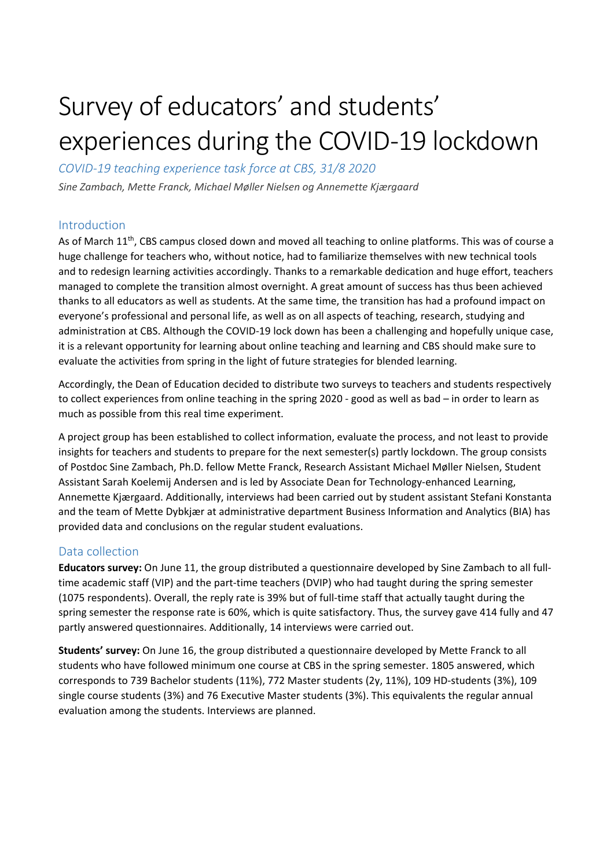# Survey of educators' and students' experiences during the COVID-19 lockdown

*COVID-19 teaching experience task force at CBS, 31/8 2020*

*Sine Zambach, Mette Franck, Michael Møller Nielsen og Annemette Kjærgaard* 

## Introduction

As of March 11<sup>th</sup>, CBS campus closed down and moved all teaching to online platforms. This was of course a huge challenge for teachers who, without notice, had to familiarize themselves with new technical tools and to redesign learning activities accordingly. Thanks to a remarkable dedication and huge effort, teachers managed to complete the transition almost overnight. A great amount of success has thus been achieved thanks to all educators as well as students. At the same time, the transition has had a profound impact on everyone's professional and personal life, as well as on all aspects of teaching, research, studying and administration at CBS. Although the COVID-19 lock down has been a challenging and hopefully unique case, it is a relevant opportunity for learning about online teaching and learning and CBS should make sure to evaluate the activities from spring in the light of future strategies for blended learning.

Accordingly, the Dean of Education decided to distribute two surveys to teachers and students respectively to collect experiences from online teaching in the spring 2020 - good as well as bad – in order to learn as much as possible from this real time experiment.

A project group has been established to collect information, evaluate the process, and not least to provide insights for teachers and students to prepare for the next semester(s) partly lockdown. The group consists of Postdoc Sine Zambach, Ph.D. fellow Mette Franck, Research Assistant Michael Møller Nielsen, Student Assistant Sarah Koelemij Andersen and is led by Associate Dean for Technology-enhanced Learning, Annemette Kjærgaard. Additionally, interviews had been carried out by student assistant Stefani Konstanta and the team of Mette Dybkjær at administrative department Business Information and Analytics (BIA) has provided data and conclusions on the regular student evaluations.

## Data collection

**Educators survey:** On June 11, the group distributed a questionnaire developed by Sine Zambach to all fulltime academic staff (VIP) and the part-time teachers (DVIP) who had taught during the spring semester (1075 respondents). Overall, the reply rate is 39% but of full-time staff that actually taught during the spring semester the response rate is 60%, which is quite satisfactory. Thus, the survey gave 414 fully and 47 partly answered questionnaires. Additionally, 14 interviews were carried out.

**Students' survey:** On June 16, the group distributed a questionnaire developed by Mette Franck to all students who have followed minimum one course at CBS in the spring semester. 1805 answered, which corresponds to 739 Bachelor students (11%), 772 Master students (2y, 11%), 109 HD-students (3%), 109 single course students (3%) and 76 Executive Master students (3%). This equivalents the regular annual evaluation among the students. Interviews are planned.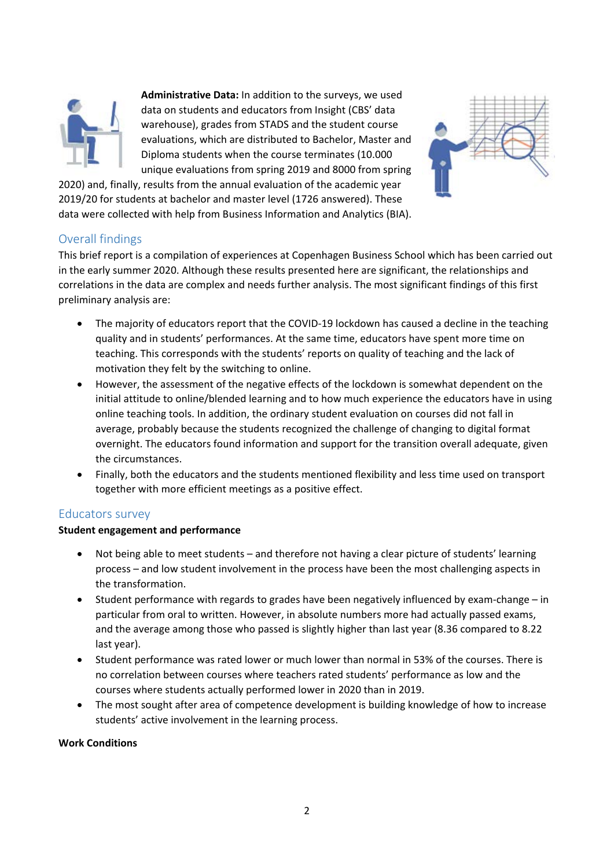

**Administrative Data:** In addition to the surveys, we used data on students and educators from Insight (CBS' data warehouse), grades from STADS and the student course evaluations, which are distributed to Bachelor, Master and Diploma students when the course terminates (10.000 unique evaluations from spring 2019 and 8000 from spring



2020) and, finally, results from the annual evaluation of the academic year 2019/20 for students at bachelor and master level (1726 answered). These data were collected with help from Business Information and Analytics (BIA).

## Overall findings

This brief report is a compilation of experiences at Copenhagen Business School which has been carried out in the early summer 2020. Although these results presented here are significant, the relationships and correlations in the data are complex and needs further analysis. The most significant findings of this first preliminary analysis are:

- The majority of educators report that the COVID-19 lockdown has caused a decline in the teaching quality and in students' performances. At the same time, educators have spent more time on teaching. This corresponds with the students' reports on quality of teaching and the lack of motivation they felt by the switching to online.
- However, the assessment of the negative effects of the lockdown is somewhat dependent on the initial attitude to online/blended learning and to how much experience the educators have in using online teaching tools. In addition, the ordinary student evaluation on courses did not fall in average, probably because the students recognized the challenge of changing to digital format overnight. The educators found information and support for the transition overall adequate, given the circumstances.
- Finally, both the educators and the students mentioned flexibility and less time used on transport together with more efficient meetings as a positive effect.

## Educators survey

## **Student engagement and performance**

- Not being able to meet students and therefore not having a clear picture of students' learning process – and low student involvement in the process have been the most challenging aspects in the transformation.
- Student performance with regards to grades have been negatively influenced by exam-change in particular from oral to written. However, in absolute numbers more had actually passed exams, and the average among those who passed is slightly higher than last year (8.36 compared to 8.22 last year).
- Student performance was rated lower or much lower than normal in 53% of the courses. There is no correlation between courses where teachers rated students' performance as low and the courses where students actually performed lower in 2020 than in 2019.
- The most sought after area of competence development is building knowledge of how to increase students' active involvement in the learning process.

#### **Work Conditions**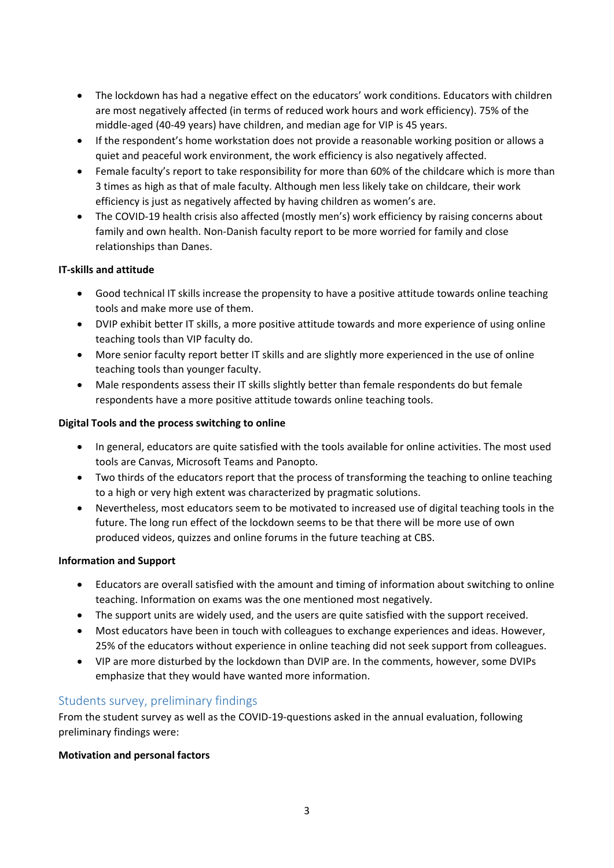- The lockdown has had a negative effect on the educators' work conditions. Educators with children are most negatively affected (in terms of reduced work hours and work efficiency). 75% of the middle-aged (40-49 years) have children, and median age for VIP is 45 years.
- If the respondent's home workstation does not provide a reasonable working position or allows a quiet and peaceful work environment, the work efficiency is also negatively affected.
- Female faculty's report to take responsibility for more than 60% of the childcare which is more than 3 times as high as that of male faculty. Although men less likely take on childcare, their work efficiency is just as negatively affected by having children as women's are.
- The COVID-19 health crisis also affected (mostly men's) work efficiency by raising concerns about family and own health. Non-Danish faculty report to be more worried for family and close relationships than Danes.

#### **IT-skills and attitude**

- Good technical IT skills increase the propensity to have a positive attitude towards online teaching tools and make more use of them.
- DVIP exhibit better IT skills, a more positive attitude towards and more experience of using online teaching tools than VIP faculty do.
- More senior faculty report better IT skills and are slightly more experienced in the use of online teaching tools than younger faculty.
- Male respondents assess their IT skills slightly better than female respondents do but female respondents have a more positive attitude towards online teaching tools.

#### **Digital Tools and the process switching to online**

- In general, educators are quite satisfied with the tools available for online activities. The most used tools are Canvas, Microsoft Teams and Panopto.
- Two thirds of the educators report that the process of transforming the teaching to online teaching to a high or very high extent was characterized by pragmatic solutions.
- Nevertheless, most educators seem to be motivated to increased use of digital teaching tools in the future. The long run effect of the lockdown seems to be that there will be more use of own produced videos, quizzes and online forums in the future teaching at CBS.

#### **Information and Support**

- Educators are overall satisfied with the amount and timing of information about switching to online teaching. Information on exams was the one mentioned most negatively.
- The support units are widely used, and the users are quite satisfied with the support received.
- Most educators have been in touch with colleagues to exchange experiences and ideas. However, 25% of the educators without experience in online teaching did not seek support from colleagues.
- VIP are more disturbed by the lockdown than DVIP are. In the comments, however, some DVIPs emphasize that they would have wanted more information.

## Students survey, preliminary findings

From the student survey as well as the COVID-19-questions asked in the annual evaluation, following preliminary findings were:

#### **Motivation and personal factors**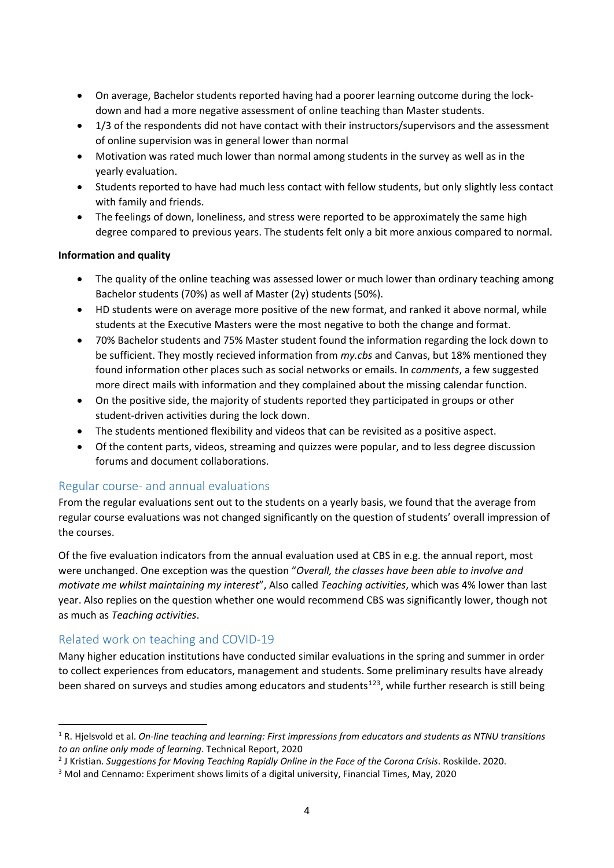- On average, Bachelor students reported having had a poorer learning outcome during the lockdown and had a more negative assessment of online teaching than Master students.
- 1/3 of the respondents did not have contact with their instructors/supervisors and the assessment of online supervision was in general lower than normal
- Motivation was rated much lower than normal among students in the survey as well as in the yearly evaluation.
- Students reported to have had much less contact with fellow students, but only slightly less contact with family and friends.
- The feelings of down, loneliness, and stress were reported to be approximately the same high degree compared to previous years. The students felt only a bit more anxious compared to normal.

#### **Information and quality**

- The quality of the online teaching was assessed lower or much lower than ordinary teaching among Bachelor students (70%) as well af Master (2y) students (50%).
- HD students were on average more positive of the new format, and ranked it above normal, while students at the Executive Masters were the most negative to both the change and format.
- 70% Bachelor students and 75% Master student found the information regarding the lock down to be sufficient. They mostly recieved information from *my.cbs* and Canvas, but 18% mentioned they found information other places such as social networks or emails. In *comments*, a few suggested more direct mails with information and they complained about the missing calendar function.
- On the positive side, the majority of students reported they participated in groups or other student-driven activities during the lock down.
- The students mentioned flexibility and videos that can be revisited as a positive aspect.
- Of the content parts, videos, streaming and quizzes were popular, and to less degree discussion forums and document collaborations.

## Regular course- and annual evaluations

From the regular evaluations sent out to the students on a yearly basis, we found that the average from regular course evaluations was not changed significantly on the question of students' overall impression of the courses.

Of the five evaluation indicators from the annual evaluation used at CBS in e.g. the annual report, most were unchanged. One exception was the question "*Overall, the classes have been able to involve and motivate me whilst maintaining my interest*", Also called *Teaching activities*, which was 4% lower than last year. Also replies on the question whether one would recommend CBS was significantly lower, though not as much as *Teaching activities*.

## Related work on teaching and COVID-19

Many higher education institutions have conducted similar evaluations in the spring and summer in order to collect experiences from educators, management and students. Some preliminary results have already been shared on surveys and studies among educators and students<sup>[1](#page-3-0)[2](#page-3-1)[3](#page-3-2)</sup>, while further research is still being

<span id="page-3-0"></span> <sup>1</sup> R. Hjelsvold et al. *On-line teaching and learning: First impressions from educators and students as NTNU transitions to an online only mode of learning*. Technical Report, 2020

<span id="page-3-1"></span><sup>2</sup> J Kristian. *Suggestions for Moving Teaching Rapidly Online in the Face of the Corona Crisis*. Roskilde. 2020.

<span id="page-3-2"></span><sup>&</sup>lt;sup>3</sup> Mol and Cennamo: Experiment shows limits of a digital university, Financial Times, May, 2020